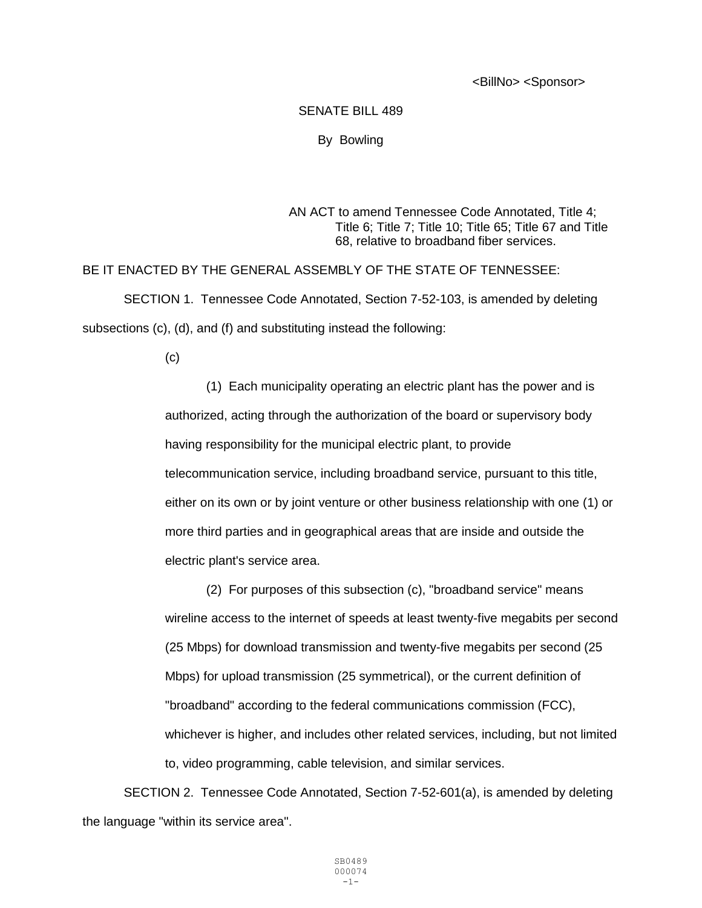<BillNo> <Sponsor>

## SENATE BILL 489

By Bowling

## AN ACT to amend Tennessee Code Annotated, Title 4; Title 6; Title 7; Title 10; Title 65; Title 67 and Title 68, relative to broadband fiber services.

## BE IT ENACTED BY THE GENERAL ASSEMBLY OF THE STATE OF TENNESSEE: SECTION 1. Tennessee Code Annotated, Section 7-52-103, is amended by deleting subsections (c), (d), and (f) and substituting instead the following:

(c)

(1) Each municipality operating an electric plant has the power and is authorized, acting through the authorization of the board or supervisory body having responsibility for the municipal electric plant, to provide telecommunication service, including broadband service, pursuant to this title, either on its own or by joint venture or other business relationship with one (1) or more third parties and in geographical areas that are inside and outside the electric plant's service area.

(2) For purposes of this subsection (c), "broadband service" means wireline access to the internet of speeds at least twenty-five megabits per second (25 Mbps) for download transmission and twenty-five megabits per second (25 Mbps) for upload transmission (25 symmetrical), or the current definition of "broadband" according to the federal communications commission (FCC), whichever is higher, and includes other related services, including, but not limited to, video programming, cable television, and similar services.

SECTION 2. Tennessee Code Annotated, Section 7-52-601(a), is amended by deleting the language "within its service area".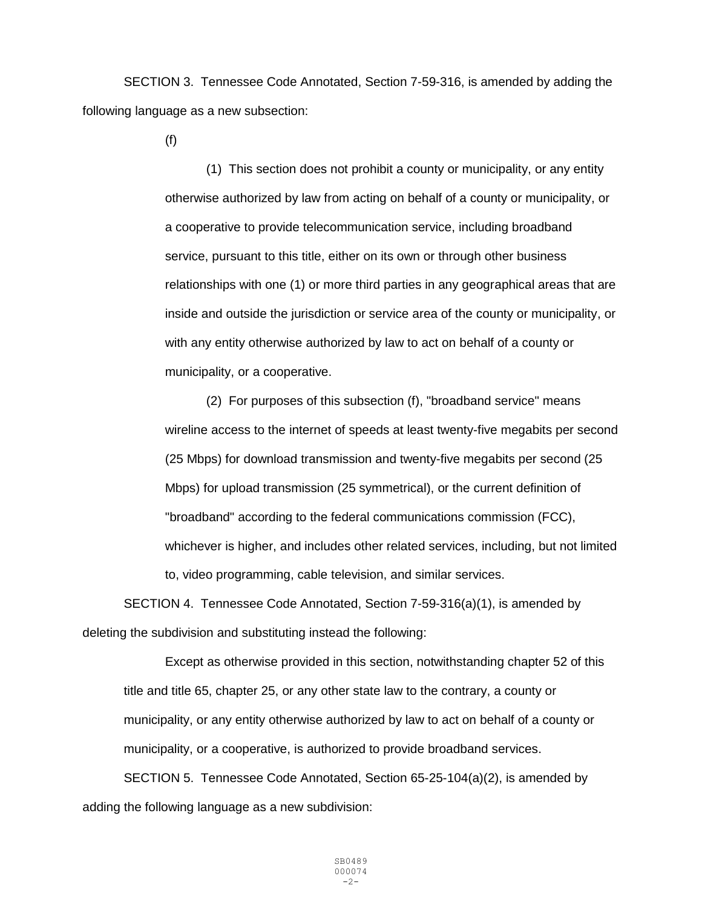SECTION 3. Tennessee Code Annotated, Section 7-59-316, is amended by adding the following language as a new subsection:

(f)

(1) This section does not prohibit a county or municipality, or any entity otherwise authorized by law from acting on behalf of a county or municipality, or a cooperative to provide telecommunication service, including broadband service, pursuant to this title, either on its own or through other business relationships with one (1) or more third parties in any geographical areas that are inside and outside the jurisdiction or service area of the county or municipality, or with any entity otherwise authorized by law to act on behalf of a county or municipality, or a cooperative.

(2) For purposes of this subsection (f), "broadband service" means wireline access to the internet of speeds at least twenty-five megabits per second (25 Mbps) for download transmission and twenty-five megabits per second (25 Mbps) for upload transmission (25 symmetrical), or the current definition of "broadband" according to the federal communications commission (FCC), whichever is higher, and includes other related services, including, but not limited to, video programming, cable television, and similar services.

SECTION 4. Tennessee Code Annotated, Section 7-59-316(a)(1), is amended by deleting the subdivision and substituting instead the following:

Except as otherwise provided in this section, notwithstanding chapter 52 of this title and title 65, chapter 25, or any other state law to the contrary, a county or municipality, or any entity otherwise authorized by law to act on behalf of a county or municipality, or a cooperative, is authorized to provide broadband services.

SECTION 5. Tennessee Code Annotated, Section 65-25-104(a)(2), is amended by adding the following language as a new subdivision: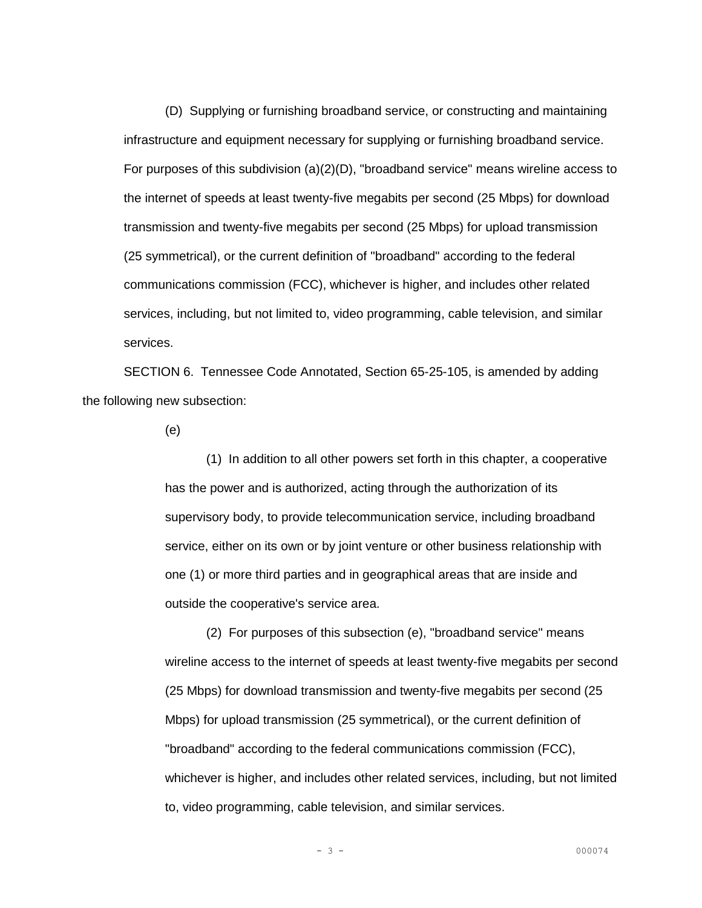(D) Supplying or furnishing broadband service, or constructing and maintaining infrastructure and equipment necessary for supplying or furnishing broadband service. For purposes of this subdivision  $(a)(2)(D)$ , "broadband service" means wireline access to the internet of speeds at least twenty-five megabits per second (25 Mbps) for download transmission and twenty-five megabits per second (25 Mbps) for upload transmission (25 symmetrical), or the current definition of "broadband" according to the federal communications commission (FCC), whichever is higher, and includes other related services, including, but not limited to, video programming, cable television, and similar services.

SECTION 6. Tennessee Code Annotated, Section 65-25-105, is amended by adding the following new subsection:

(e)

(1) In addition to all other powers set forth in this chapter, a cooperative has the power and is authorized, acting through the authorization of its supervisory body, to provide telecommunication service, including broadband service, either on its own or by joint venture or other business relationship with one (1) or more third parties and in geographical areas that are inside and outside the cooperative's service area.

(2) For purposes of this subsection (e), "broadband service" means wireline access to the internet of speeds at least twenty-five megabits per second (25 Mbps) for download transmission and twenty-five megabits per second (25 Mbps) for upload transmission (25 symmetrical), or the current definition of "broadband" according to the federal communications commission (FCC), whichever is higher, and includes other related services, including, but not limited to, video programming, cable television, and similar services.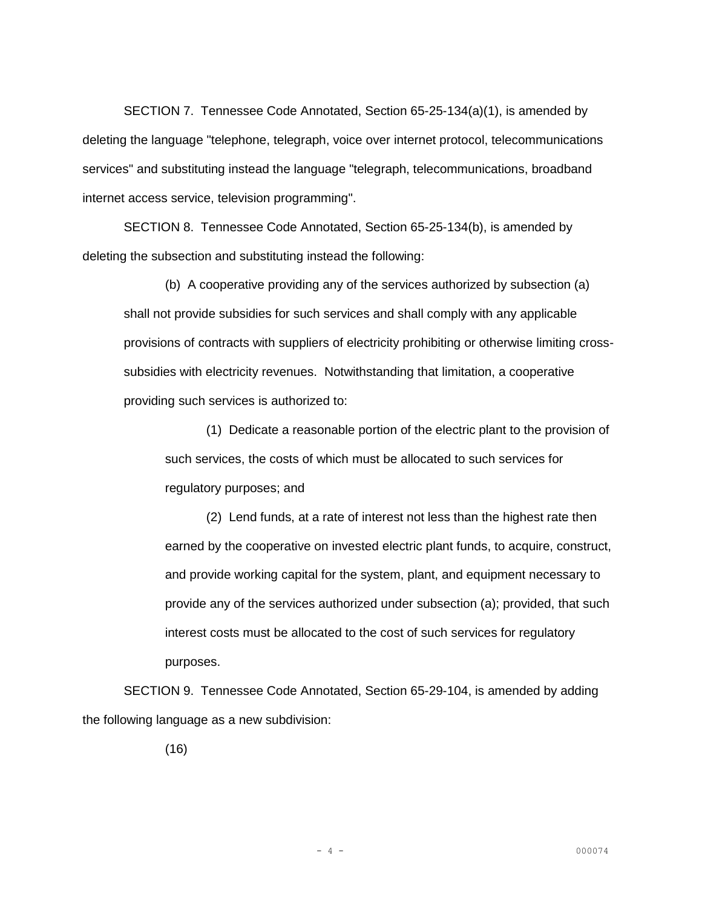SECTION 7. Tennessee Code Annotated, Section 65-25-134(a)(1), is amended by deleting the language "telephone, telegraph, voice over internet protocol, telecommunications services" and substituting instead the language "telegraph, telecommunications, broadband internet access service, television programming".

SECTION 8. Tennessee Code Annotated, Section 65-25-134(b), is amended by deleting the subsection and substituting instead the following:

(b) A cooperative providing any of the services authorized by subsection (a) shall not provide subsidies for such services and shall comply with any applicable provisions of contracts with suppliers of electricity prohibiting or otherwise limiting crosssubsidies with electricity revenues. Notwithstanding that limitation, a cooperative providing such services is authorized to:

(1) Dedicate a reasonable portion of the electric plant to the provision of such services, the costs of which must be allocated to such services for regulatory purposes; and

(2) Lend funds, at a rate of interest not less than the highest rate then earned by the cooperative on invested electric plant funds, to acquire, construct, and provide working capital for the system, plant, and equipment necessary to provide any of the services authorized under subsection (a); provided, that such interest costs must be allocated to the cost of such services for regulatory purposes.

SECTION 9. Tennessee Code Annotated, Section 65-29-104, is amended by adding the following language as a new subdivision:

(16)